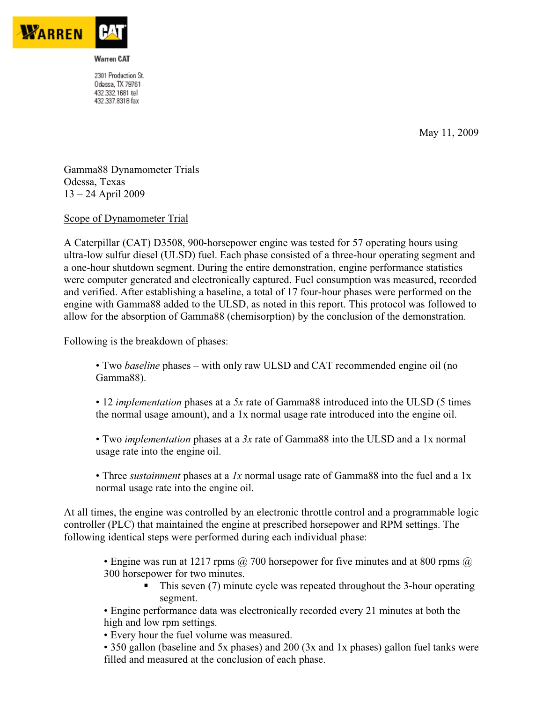

2301 Production St. Odessa, TX 79761 432.332.1681 tel 432.337.8318 fax

May 11, 2009

Gamma88 Dynamometer Trials Odessa, Texas 13 – 24 April 2009

Scope of Dynamometer Trial

A Caterpillar (CAT) D3508, 900-horsepower engine was tested for 57 operating hours using ultra-low sulfur diesel (ULSD) fuel. Each phase consisted of a three-hour operating segment and a one-hour shutdown segment. During the entire demonstration, engine performance statistics were computer generated and electronically captured. Fuel consumption was measured, recorded and verified. After establishing a baseline, a total of 17 four-hour phases were performed on the engine with Gamma88 added to the ULSD, as noted in this report. This protocol was followed to allow for the absorption of Gamma88 (chemisorption) by the conclusion of the demonstration.

Following is the breakdown of phases:

• Two *baseline* phases – with only raw ULSD and CAT recommended engine oil (no Gamma88).

• 12 *implementation* phases at a *5x* rate of Gamma88 introduced into the ULSD (5 times the normal usage amount), and a 1x normal usage rate introduced into the engine oil.

• Two *implementation* phases at a *3x* rate of Gamma88 into the ULSD and a 1x normal usage rate into the engine oil.

• Three *sustainment* phases at a *1x* normal usage rate of Gamma88 into the fuel and a 1x normal usage rate into the engine oil.

At all times, the engine was controlled by an electronic throttle control and a programmable logic controller (PLC) that maintained the engine at prescribed horsepower and RPM settings. The following identical steps were performed during each individual phase:

• Engine was run at 1217 rpms  $\omega$  700 horsepower for five minutes and at 800 rpms  $\omega$ 300 horsepower for two minutes.

- - This seven (7) minute cycle was repeated throughout the 3-hour operating segment.
- Engine performance data was electronically recorded every 21 minutes at both the high and low rpm settings.
- Every hour the fuel volume was measured.

• 350 gallon (baseline and 5x phases) and 200 (3x and 1x phases) gallon fuel tanks were filled and measured at the conclusion of each phase.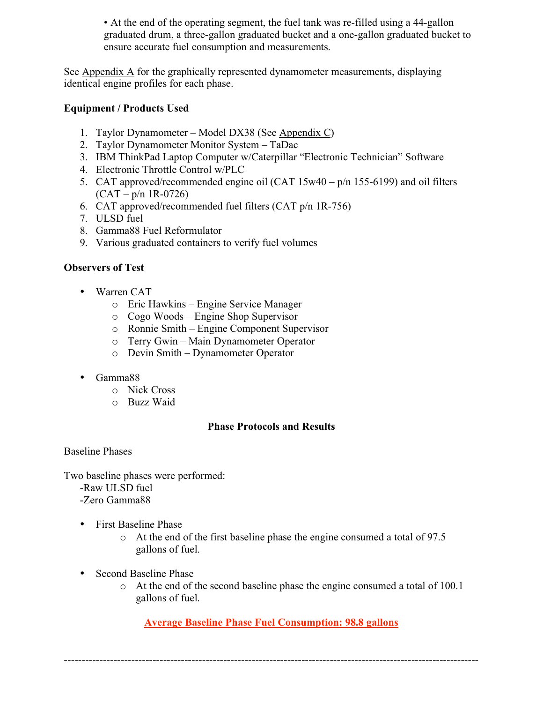• At the end of the operating segment, the fuel tank was re-filled using a 44-gallon graduated drum, a three-gallon graduated bucket and a one-gallon graduated bucket to ensure accurate fuel consumption and measurements.

See Appendix A for the graphically represented dynamometer measurements, displaying identical engine profiles for each phase.

### **Equipment / Products Used**

- 1. Taylor Dynamometer Model DX38 (See Appendix C)
- 2. Taylor Dynamometer Monitor System TaDac
- 3. IBM ThinkPad Laptop Computer w/Caterpillar "Electronic Technician" Software
- 4. Electronic Throttle Control w/PLC
- 5. CAT approved/recommended engine oil (CAT 15w40 p/n 155-6199) and oil filters  $(CAT - p/n$  1R-0726)
- 6. CAT approved/recommended fuel filters (CAT p/n 1R-756)
- 7. ULSD fuel
- 8. Gamma88 Fuel Reformulator
- 9. Various graduated containers to verify fuel volumes

#### **Observers of Test**

- Warren CAT
	- o Eric Hawkins Engine Service Manager
	- o Cogo Woods Engine Shop Supervisor
	- o Ronnie Smith Engine Component Supervisor
	- o Terry Gwin Main Dynamometer Operator
	- o Devin Smith Dynamometer Operator
- Gamma88
	- o Nick Cross
	- o Buzz Waid

### **Phase Protocols and Results**

Baseline Phases

Two baseline phases were performed:

- -Raw ULSD fuel
- -Zero Gamma88
- First Baseline Phase
	- o At the end of the first baseline phase the engine consumed a total of 97.5 gallons of fuel.
- Second Baseline Phase
	- o At the end of the second baseline phase the engine consumed a total of 100.1 gallons of fuel.

**Average Baseline Phase Fuel Consumption: 98.8 gallons**

---------------------------------------------------------------------------------------------------------------------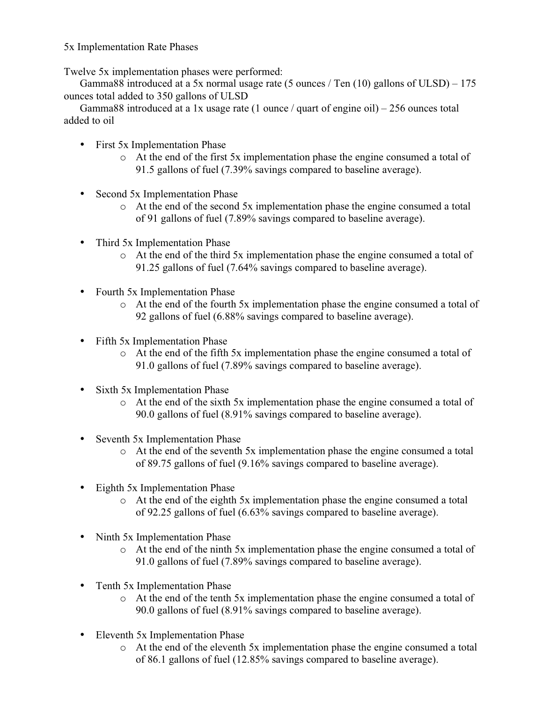5x Implementation Rate Phases

Twelve 5x implementation phases were performed:

Gamma88 introduced at a 5x normal usage rate (5 ounces / Ten  $(10)$  gallons of ULSD) – 175 ounces total added to 350 gallons of ULSD

Gamma88 introduced at a 1x usage rate (1 ounce / quart of engine oil) – 256 ounces total added to oil

- First 5x Implementation Phase
	- o At the end of the first 5x implementation phase the engine consumed a total of 91.5 gallons of fuel (7.39% savings compared to baseline average).
- Second 5x Implementation Phase
	- o At the end of the second 5x implementation phase the engine consumed a total of 91 gallons of fuel (7.89% savings compared to baseline average).
- Third 5x Implementation Phase
	- o At the end of the third 5x implementation phase the engine consumed a total of 91.25 gallons of fuel (7.64% savings compared to baseline average).
- Fourth 5x Implementation Phase
	- o At the end of the fourth 5x implementation phase the engine consumed a total of 92 gallons of fuel (6.88% savings compared to baseline average).
- Fifth 5x Implementation Phase
	- o At the end of the fifth 5x implementation phase the engine consumed a total of 91.0 gallons of fuel (7.89% savings compared to baseline average).
- Sixth 5x Implementation Phase
	- o At the end of the sixth 5x implementation phase the engine consumed a total of 90.0 gallons of fuel (8.91% savings compared to baseline average).
- Seventh 5x Implementation Phase
	- o At the end of the seventh 5x implementation phase the engine consumed a total of 89.75 gallons of fuel (9.16% savings compared to baseline average).
- Eighth 5x Implementation Phase
	- o At the end of the eighth 5x implementation phase the engine consumed a total of 92.25 gallons of fuel (6.63% savings compared to baseline average).
- Ninth 5x Implementation Phase
	- o At the end of the ninth 5x implementation phase the engine consumed a total of 91.0 gallons of fuel (7.89% savings compared to baseline average).
- Tenth 5x Implementation Phase
	- o At the end of the tenth 5x implementation phase the engine consumed a total of 90.0 gallons of fuel (8.91% savings compared to baseline average).
- Eleventh 5x Implementation Phase
	- o At the end of the eleventh 5x implementation phase the engine consumed a total of 86.1 gallons of fuel (12.85% savings compared to baseline average).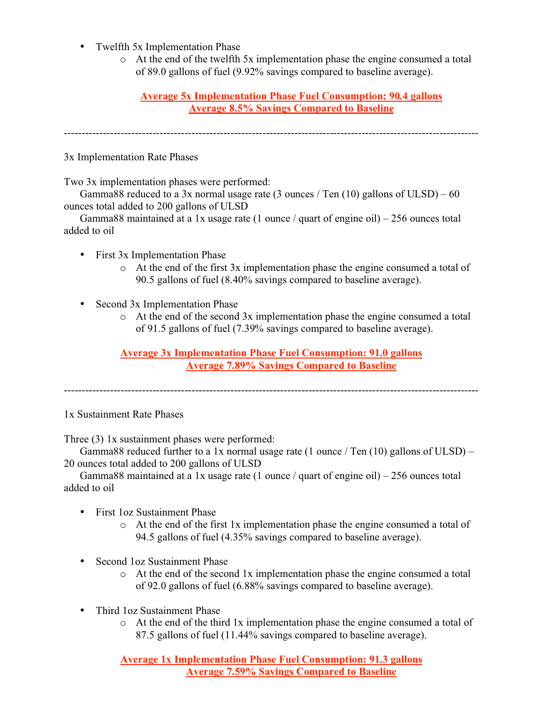- Twelfth 5x Implementation Phase
	- o At the end of the twelfth 5x implementation phase the engine consumed a total of 89.0 gallons of fuel (9.92% savings compared to baseline average).

**Average 5x Implementation Phase Fuel Consumption: 90.4 gallons Average 8.5% Savings Compared to Baseline**

---------------------------------------------------------------------------------------------------------------------

3x Implementation Rate Phases

Two 3x implementation phases were performed:

Gamma88 reduced to a 3x normal usage rate (3 ounces / Ten  $(10)$  gallons of ULSD) – 60 ounces total added to 200 gallons of ULSD

Gamma88 maintained at a 1x usage rate (1 ounce / quart of engine oil) – 256 ounces total added to oil

- First 3x Implementation Phase
	- o At the end of the first 3x implementation phase the engine consumed a total of 90.5 gallons of fuel (8.40% savings compared to baseline average).
- Second 3x Implementation Phase
	- o At the end of the second 3x implementation phase the engine consumed a total of 91.5 gallons of fuel (7.39% savings compared to baseline average).

**Average 3x Implementation Phase Fuel Consumption: 91.0 gallons Average 7.89% Savings Compared to Baseline**

---------------------------------------------------------------------------------------------------------------------

1x Sustainment Rate Phases

Three (3) 1x sustainment phases were performed:

Gamma88 reduced further to a 1x normal usage rate  $(1 \text{ ounce} / \text{Ten } (10) \text{ gallons of ULSD})$  – 20 ounces total added to 200 gallons of ULSD

Gamma88 maintained at a 1x usage rate (1 ounce / quart of engine oil) – 256 ounces total added to oil

- First 1oz Sustainment Phase
	- $\circ$  At the end of the first 1x implementation phase the engine consumed a total of 94.5 gallons of fuel (4.35% savings compared to baseline average).
- Second 1oz Sustainment Phase
	- o At the end of the second 1x implementation phase the engine consumed a total of 92.0 gallons of fuel (6.88% savings compared to baseline average).
- Third 1oz Sustainment Phase
	- o At the end of the third 1x implementation phase the engine consumed a total of 87.5 gallons of fuel (11.44% savings compared to baseline average).

**Average 1x Implementation Phase Fuel Consumption: 91.3 gallons Average 7.59% Savings Compared to Baseline**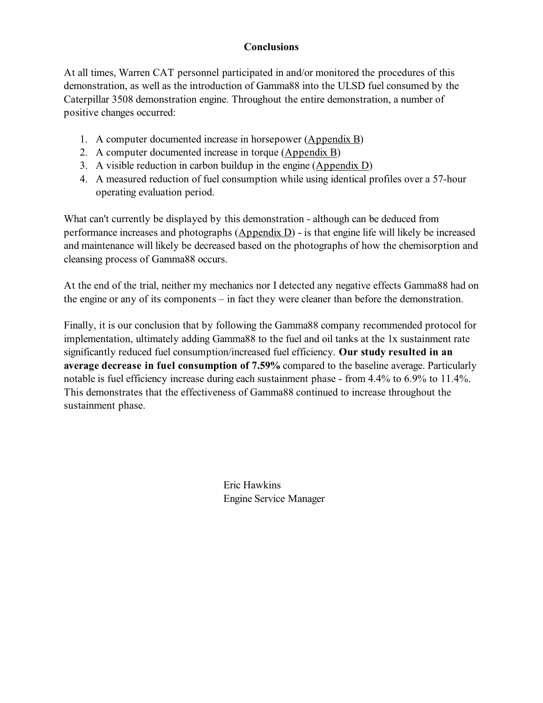### **Conclusions**

At all times, Warren CAT personnel participated in and/or monitored the procedures of this demonstration, as well as the introduction of Gamma88 into the ULSD fuel consumed by the Caterpillar 3508 demonstration engine. Throughout the entire demonstration, a number of positive changes occurred:

- 1. A computer documented increase in horsepower (Appendix B)
- 2. A computer documented increase in torque (Appendix B)
- 3. A visible reduction in carbon buildup in the engine (Appendix D)
- 4. A measured reduction of fuel consumption while using identical profiles over a 57-hour operating evaluation period.

What can't currently be displayed by this demonstration - although can be deduced from performance increases and photographs  $(\underline{Appendix D})$  - is that engine life will likely be increased and maintenance will likely be decreased based on the photographs of how the chemisorption and cleansing process of Gamma88 occurs.

At the end of the trial, neither my mechanics nor I detected any negative effects Gamma88 had on the engine or any of its components – in fact they were cleaner than before the demonstration.

Finally, it is our conclusion that by following the Gamma88 company recommended protocol for implementation, ultimately adding Gamma88 to the fuel and oil tanks at the 1x sustainment rate significantly reduced fuel consumption/increased fuel efficiency. **Our study resulted in an average decrease in fuel consumption of 7.59%** compared to the baseline average. Particularly notable is fuel efficiency increase during each sustainment phase - from 4.4% to 6.9% to 11.4%. This demonstrates that the effectiveness of Gamma88 continued to increase throughout the sustainment phase.

> Eric Hawkins Engine Service Manager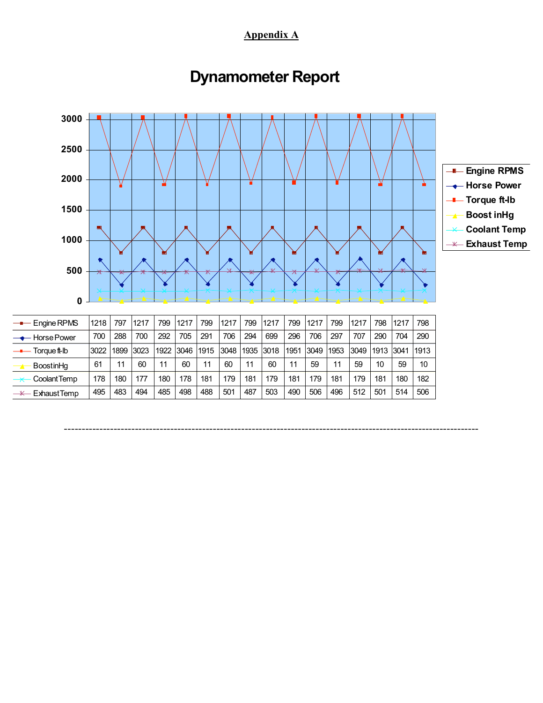**Appendix A**

# **Dynamometer Report**



---------------------------------------------------------------------------------------------------------------------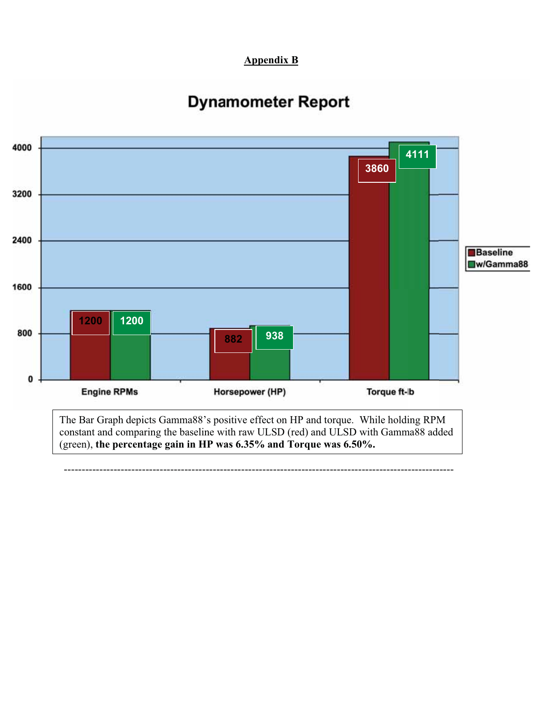### **Appendix B**

## **Dynamometer Report**

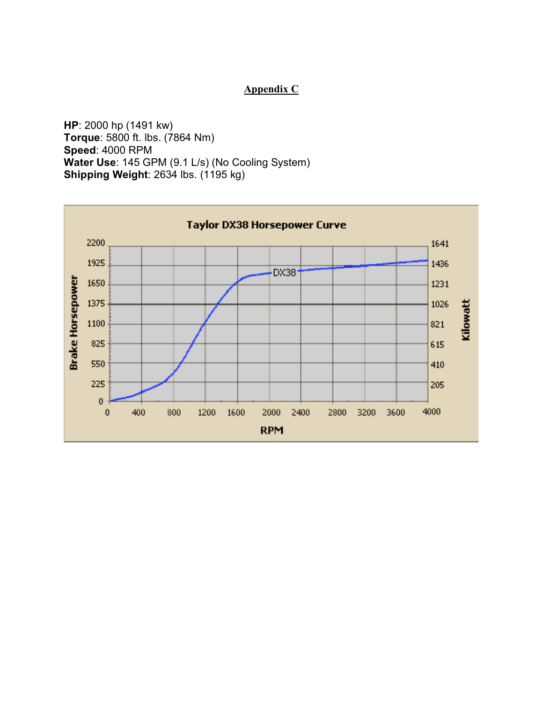### **Appendix C**

**HP**: 2000 hp (1491 kw) **Torque**: 5800 ft. lbs. (7864 Nm) **Speed**: 4000 RPM **Water Use**: 145 GPM (9.1 L/s) (No Cooling System) **Shipping Weight: 2634 lbs. (1195 kg)** 

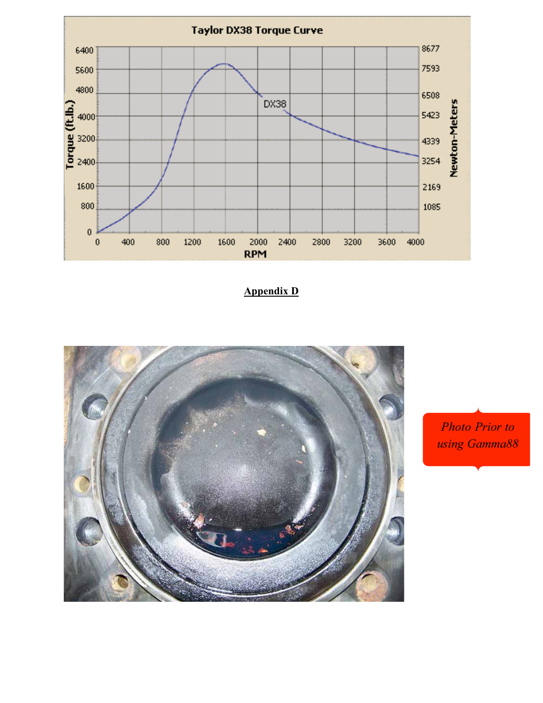

**Appendix D**



*Photo Prior to using Gamma88*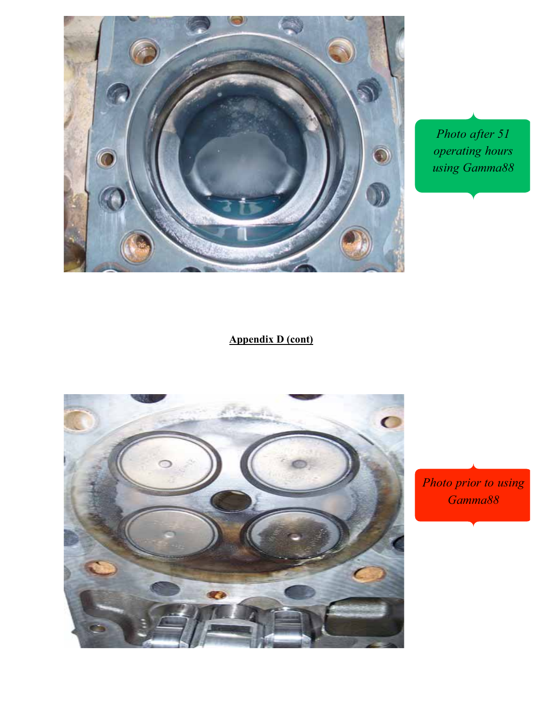

*Photo after 51 operating hours using Gamma88*

### **Appendix D (cont)**